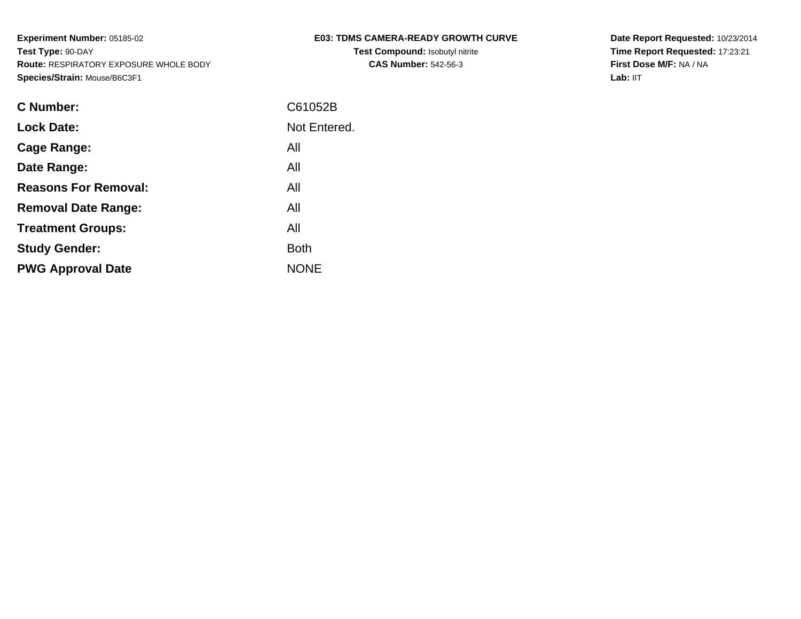|  |  | <b>E03: TDMS CAMERA-READY GROWTH CURVE</b> |  |
|--|--|--------------------------------------------|--|
|  |  |                                            |  |

**Test Compound:** Isobutyl nitrite**CAS Number:** 542-56-3

**Date Report Requested:** 10/23/2014 **Time Report Requested:** 17:23:21**First Dose M/F:** NA / NA**Lab:** IIT

| <b>Lock Date:</b><br>All<br>Cage Range:<br>All<br>Date Range:<br><b>Reasons For Removal:</b><br>All<br>All<br><b>Removal Date Range:</b><br>All<br><b>Treatment Groups:</b><br><b>Study Gender:</b><br><b>Both</b><br><b>NONE</b><br><b>PWG Approval Date</b> | C Number: | C61052B      |
|---------------------------------------------------------------------------------------------------------------------------------------------------------------------------------------------------------------------------------------------------------------|-----------|--------------|
|                                                                                                                                                                                                                                                               |           | Not Entered. |
|                                                                                                                                                                                                                                                               |           |              |
|                                                                                                                                                                                                                                                               |           |              |
|                                                                                                                                                                                                                                                               |           |              |
|                                                                                                                                                                                                                                                               |           |              |
|                                                                                                                                                                                                                                                               |           |              |
|                                                                                                                                                                                                                                                               |           |              |
|                                                                                                                                                                                                                                                               |           |              |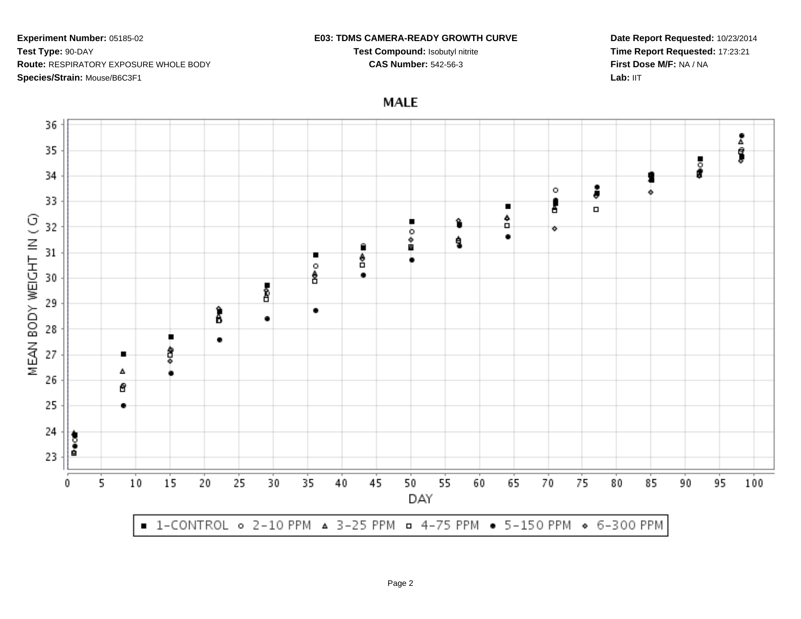#### **E03: TDMS CAMERA-READY GROWTH CURVE**

**Test Compound:** Isobutyl nitrite**CAS Number:** 542-56-3

**Date Report Requested:** 10/23/2014**Time Report Requested:** 17:23:21**First Dose M/F:** NA / NALab: IIT

**MALE** 

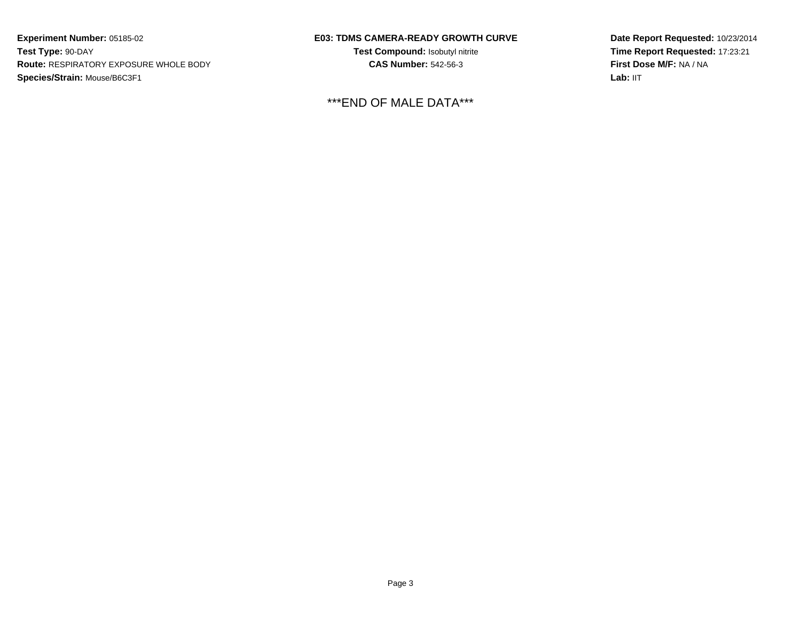## **E03: TDMS CAMERA-READY GROWTH CURVE**

**Test Compound:** Isobutyl nitrite**CAS Number:** 542-56-3

\*\*\*END OF MALE DATA\*\*\*

**Date Report Requested:** 10/23/2014**Time Report Requested:** 17:23:21**First Dose M/F:** NA / NA**Lab:** IIT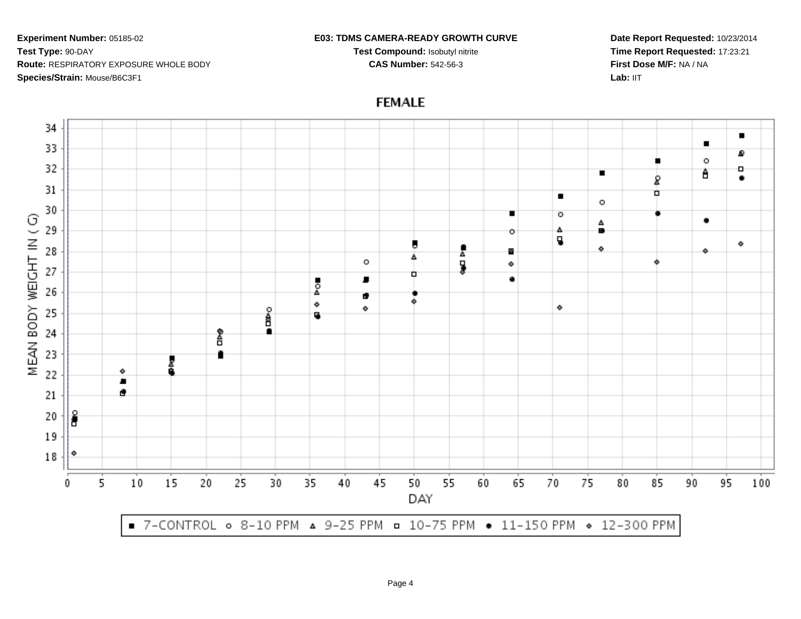#### **E03: TDMS CAMERA-READY GROWTH CURVE**

**Test Compound:** Isobutyl nitrite**CAS Number:** 542-56-3

**Date Report Requested:** 10/23/2014**Time Report Requested:** 17:23:21**First Dose M/F:** NA / NALab: IIT



# **FEMALE**